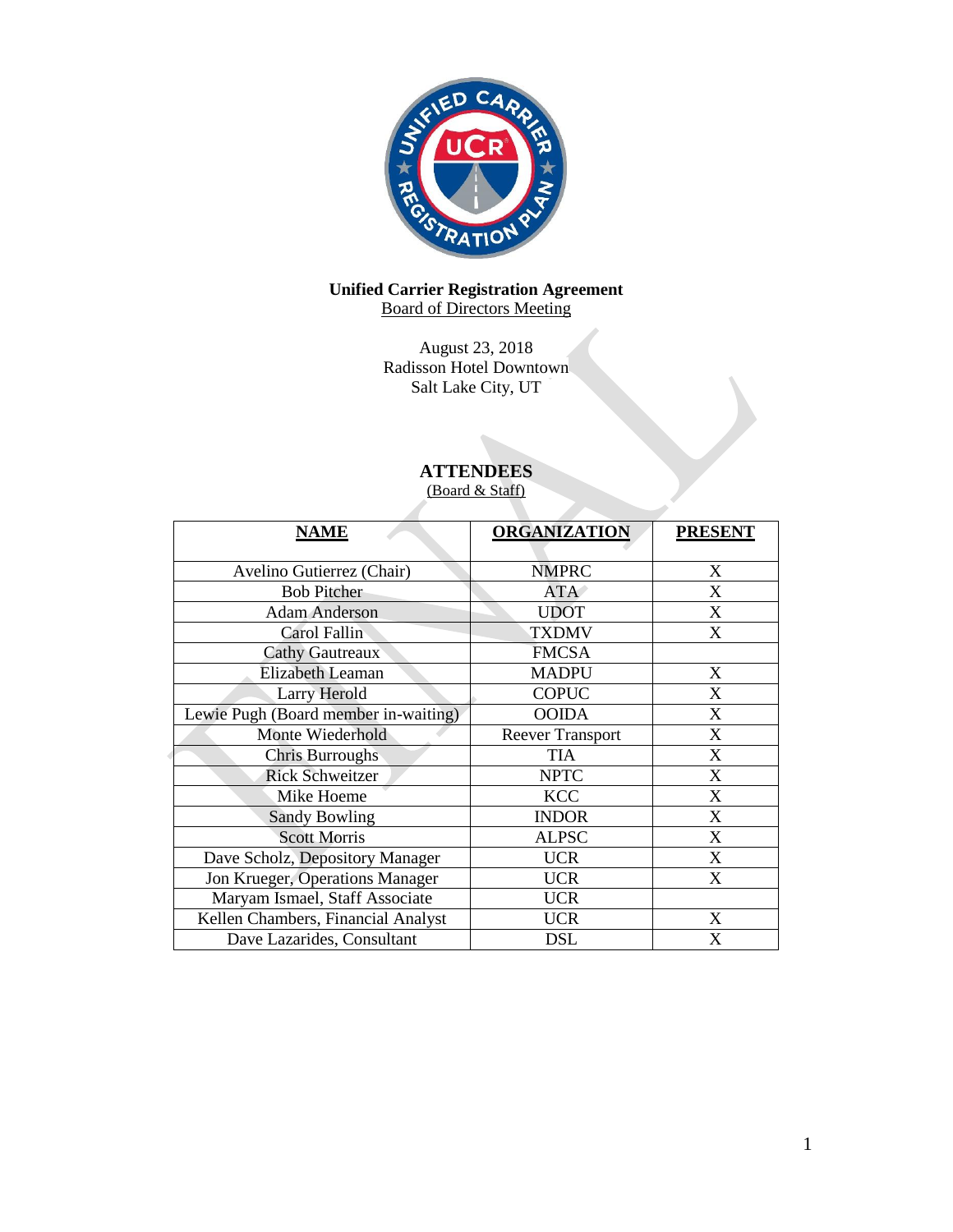

## **Unified Carrier Registration Agreement** Board of Directors Meeting

August 23, 2018 Radisson Hotel Downtown Salt Lake City, UT

# **ATTENDEES**

(Board & Staff)

| <b>NAME</b>                          | <b>ORGANIZATION</b>     | <b>PRESENT</b>   |
|--------------------------------------|-------------------------|------------------|
| Avelino Gutierrez (Chair)            | <b>NMPRC</b>            | X                |
| <b>Bob Pitcher</b>                   | <b>ATA</b>              | X                |
| <b>Adam Anderson</b>                 | <b>UDOT</b>             | X                |
| Carol Fallin                         | <b>TXDMV</b>            | X                |
| <b>Cathy Gautreaux</b>               | <b>FMCSA</b>            |                  |
| Elizabeth Leaman                     | <b>MADPU</b>            | X                |
| Larry Herold                         | <b>COPUC</b>            | X                |
| Lewie Pugh (Board member in-waiting) | <b>OOIDA</b>            | X                |
| Monte Wiederhold                     | <b>Reever Transport</b> | X                |
| <b>Chris Burroughs</b>               | <b>TIA</b>              | X                |
| <b>Rick Schweitzer</b>               | <b>NPTC</b>             | X                |
| Mike Hoeme                           | <b>KCC</b>              | X                |
| <b>Sandy Bowling</b>                 | <b>INDOR</b>            | $\boldsymbol{X}$ |
| <b>Scott Morris</b>                  | <b>ALPSC</b>            | X                |
| Dave Scholz, Depository Manager      | <b>UCR</b>              | X                |
| Jon Krueger, Operations Manager      | <b>UCR</b>              | X                |
| Maryam Ismael, Staff Associate       | <b>UCR</b>              |                  |
| Kellen Chambers, Financial Analyst   | <b>UCR</b>              | X                |
| Dave Lazarides, Consultant           | <b>DSL</b>              | X                |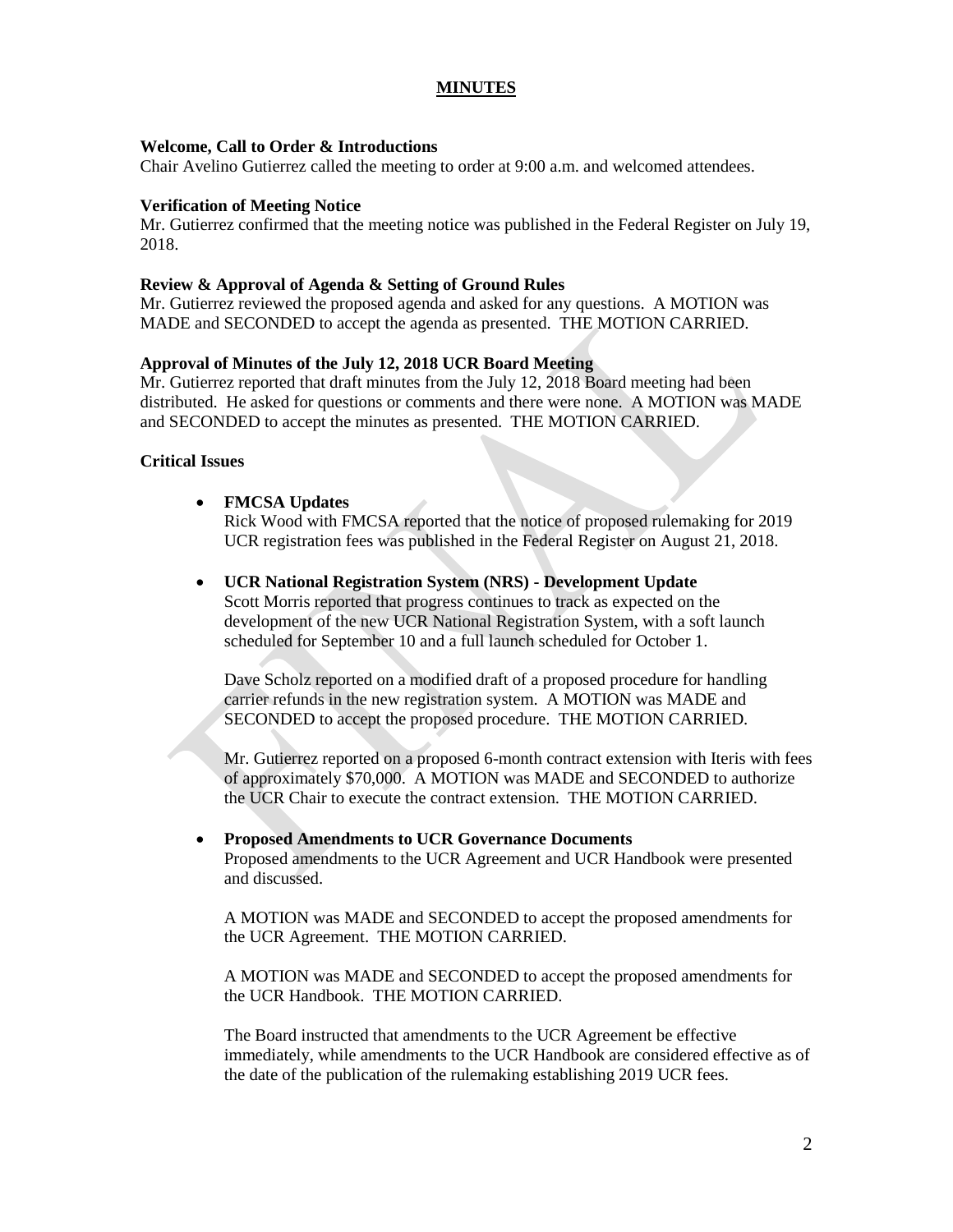# **MINUTES**

# **Welcome, Call to Order & Introductions**

Chair Avelino Gutierrez called the meeting to order at 9:00 a.m. and welcomed attendees.

## **Verification of Meeting Notice**

Mr. Gutierrez confirmed that the meeting notice was published in the Federal Register on July 19, 2018.

### **Review & Approval of Agenda & Setting of Ground Rules**

Mr. Gutierrez reviewed the proposed agenda and asked for any questions. A MOTION was MADE and SECONDED to accept the agenda as presented. THE MOTION CARRIED.

## **Approval of Minutes of the July 12, 2018 UCR Board Meeting**

Mr. Gutierrez reported that draft minutes from the July 12, 2018 Board meeting had been distributed. He asked for questions or comments and there were none. A MOTION was MADE and SECONDED to accept the minutes as presented. THE MOTION CARRIED.

## **Critical Issues**

## **FMCSA Updates**

Rick Wood with FMCSA reported that the notice of proposed rulemaking for 2019 UCR registration fees was published in the Federal Register on August 21, 2018.

## **UCR National Registration System (NRS) - Development Update**

Scott Morris reported that progress continues to track as expected on the development of the new UCR National Registration System, with a soft launch scheduled for September 10 and a full launch scheduled for October 1.

Dave Scholz reported on a modified draft of a proposed procedure for handling carrier refunds in the new registration system. A MOTION was MADE and SECONDED to accept the proposed procedure. THE MOTION CARRIED.

Mr. Gutierrez reported on a proposed 6-month contract extension with Iteris with fees of approximately \$70,000. A MOTION was MADE and SECONDED to authorize the UCR Chair to execute the contract extension. THE MOTION CARRIED.

# **Proposed Amendments to UCR Governance Documents**

Proposed amendments to the UCR Agreement and UCR Handbook were presented and discussed.

A MOTION was MADE and SECONDED to accept the proposed amendments for the UCR Agreement. THE MOTION CARRIED.

A MOTION was MADE and SECONDED to accept the proposed amendments for the UCR Handbook. THE MOTION CARRIED.

The Board instructed that amendments to the UCR Agreement be effective immediately, while amendments to the UCR Handbook are considered effective as of the date of the publication of the rulemaking establishing 2019 UCR fees.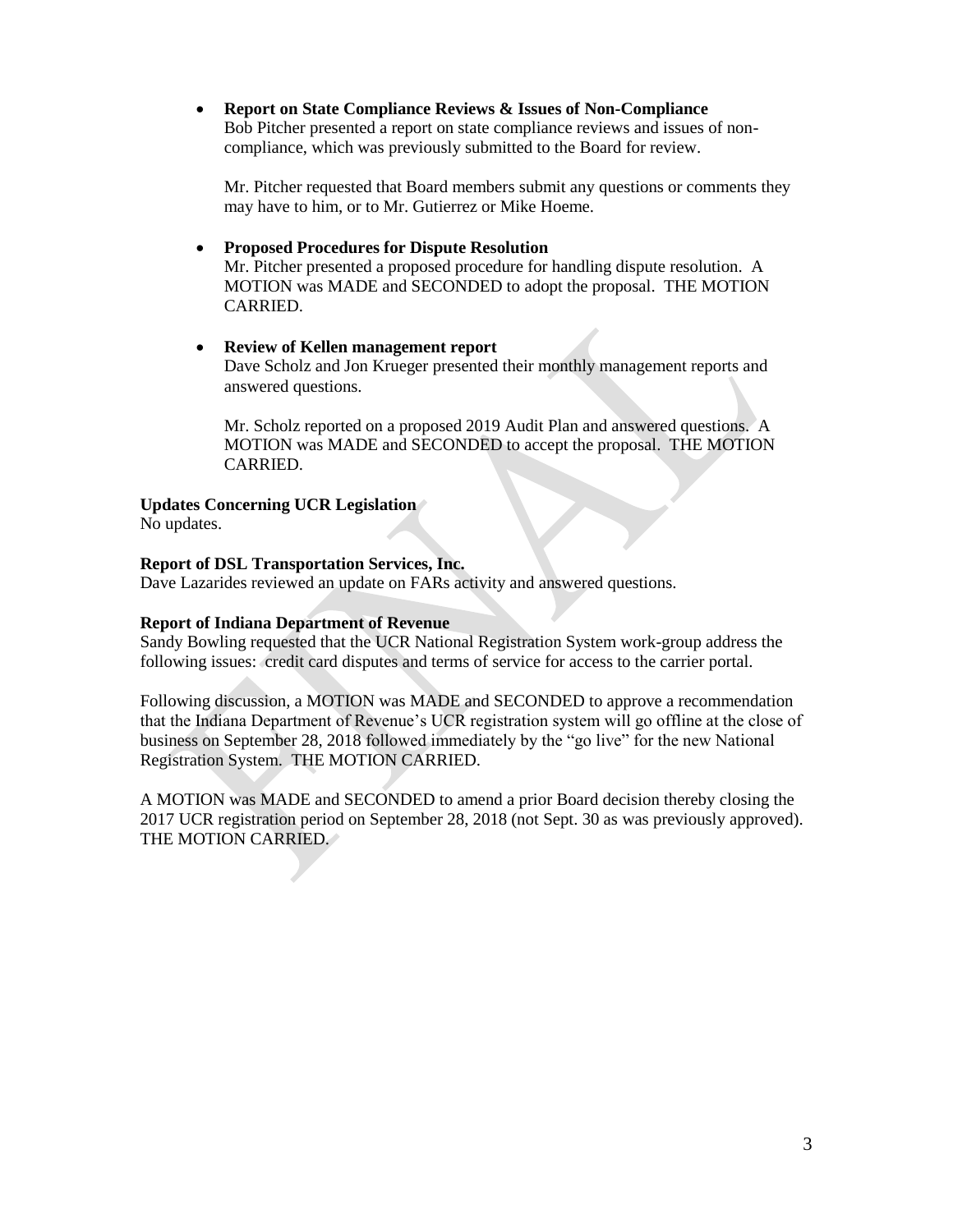**Report on State Compliance Reviews & Issues of Non-Compliance** Bob Pitcher presented a report on state compliance reviews and issues of noncompliance, which was previously submitted to the Board for review.

Mr. Pitcher requested that Board members submit any questions or comments they may have to him, or to Mr. Gutierrez or Mike Hoeme.

 **Proposed Procedures for Dispute Resolution** Mr. Pitcher presented a proposed procedure for handling dispute resolution. A MOTION was MADE and SECONDED to adopt the proposal. THE MOTION CARRIED.

 **Review of Kellen management report** Dave Scholz and Jon Krueger presented their monthly management reports and answered questions.

Mr. Scholz reported on a proposed 2019 Audit Plan and answered questions. A MOTION was MADE and SECONDED to accept the proposal. THE MOTION CARRIED.

**Updates Concerning UCR Legislation**

No updates.

# **Report of DSL Transportation Services, Inc.**

Dave Lazarides reviewed an update on FARs activity and answered questions.

# **Report of Indiana Department of Revenue**

Sandy Bowling requested that the UCR National Registration System work-group address the following issues: credit card disputes and terms of service for access to the carrier portal.

Following discussion, a MOTION was MADE and SECONDED to approve a recommendation that the Indiana Department of Revenue's UCR registration system will go offline at the close of business on September 28, 2018 followed immediately by the "go live" for the new National Registration System. THE MOTION CARRIED.

A MOTION was MADE and SECONDED to amend a prior Board decision thereby closing the 2017 UCR registration period on September 28, 2018 (not Sept. 30 as was previously approved). THE MOTION CARRIED.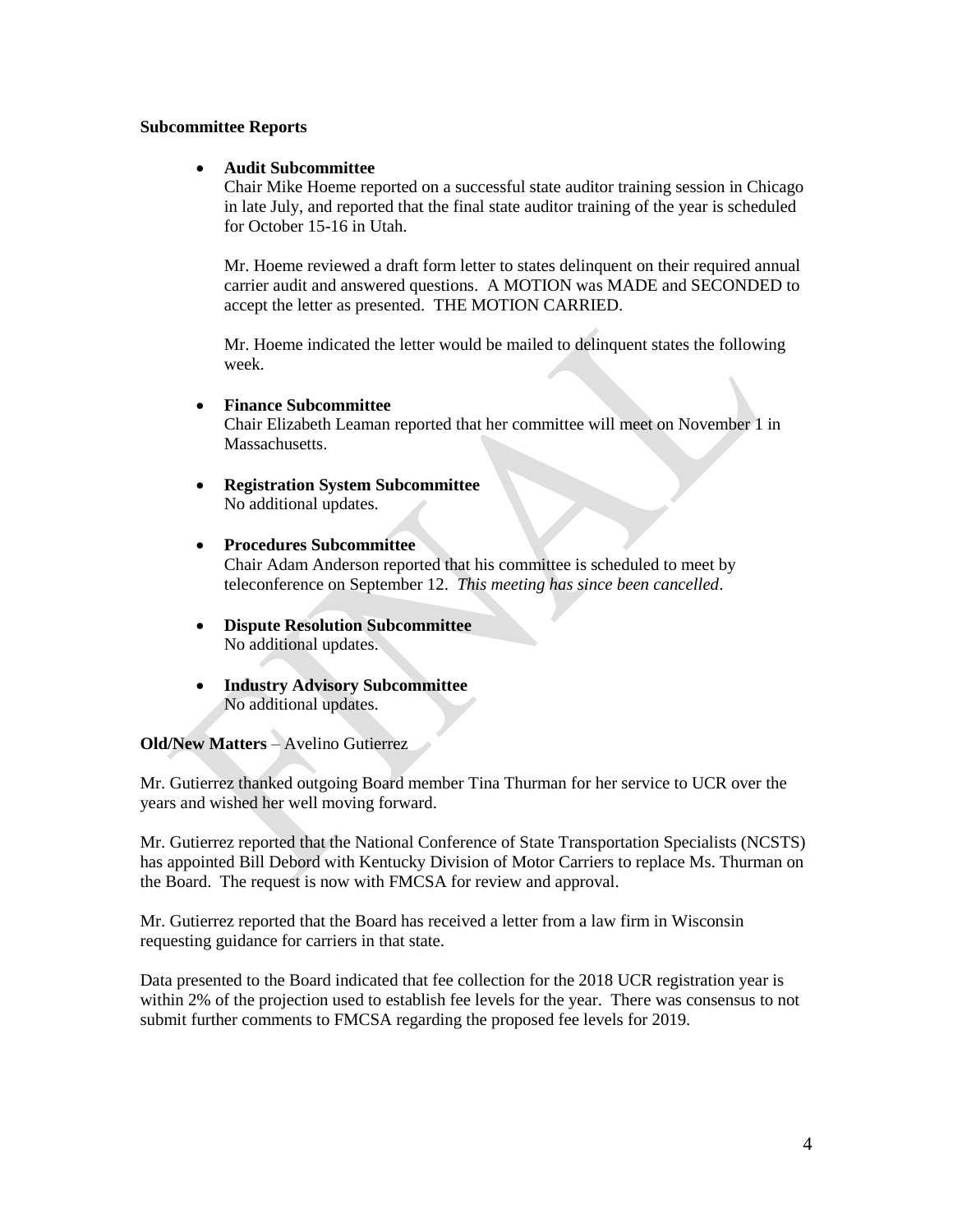#### **Subcommittee Reports**

# **Audit Subcommittee**

Chair Mike Hoeme reported on a successful state auditor training session in Chicago in late July, and reported that the final state auditor training of the year is scheduled for October 15-16 in Utah.

Mr. Hoeme reviewed a draft form letter to states delinquent on their required annual carrier audit and answered questions. A MOTION was MADE and SECONDED to accept the letter as presented. THE MOTION CARRIED.

Mr. Hoeme indicated the letter would be mailed to delinquent states the following week.

#### **Finance Subcommittee**

Chair Elizabeth Leaman reported that her committee will meet on November 1 in Massachusetts.

- **Registration System Subcommittee** No additional updates.
- **Procedures Subcommittee**  Chair Adam Anderson reported that his committee is scheduled to meet by teleconference on September 12. *This meeting has since been cancelled*.
- **Dispute Resolution Subcommittee** No additional updates.
- **Industry Advisory Subcommittee**  No additional updates.

# **Old/New Matters** – Avelino Gutierrez

Mr. Gutierrez thanked outgoing Board member Tina Thurman for her service to UCR over the years and wished her well moving forward.

Mr. Gutierrez reported that the National Conference of State Transportation Specialists (NCSTS) has appointed Bill Debord with Kentucky Division of Motor Carriers to replace Ms. Thurman on the Board. The request is now with FMCSA for review and approval.

Mr. Gutierrez reported that the Board has received a letter from a law firm in Wisconsin requesting guidance for carriers in that state.

Data presented to the Board indicated that fee collection for the 2018 UCR registration year is within 2% of the projection used to establish fee levels for the year. There was consensus to not submit further comments to FMCSA regarding the proposed fee levels for 2019.